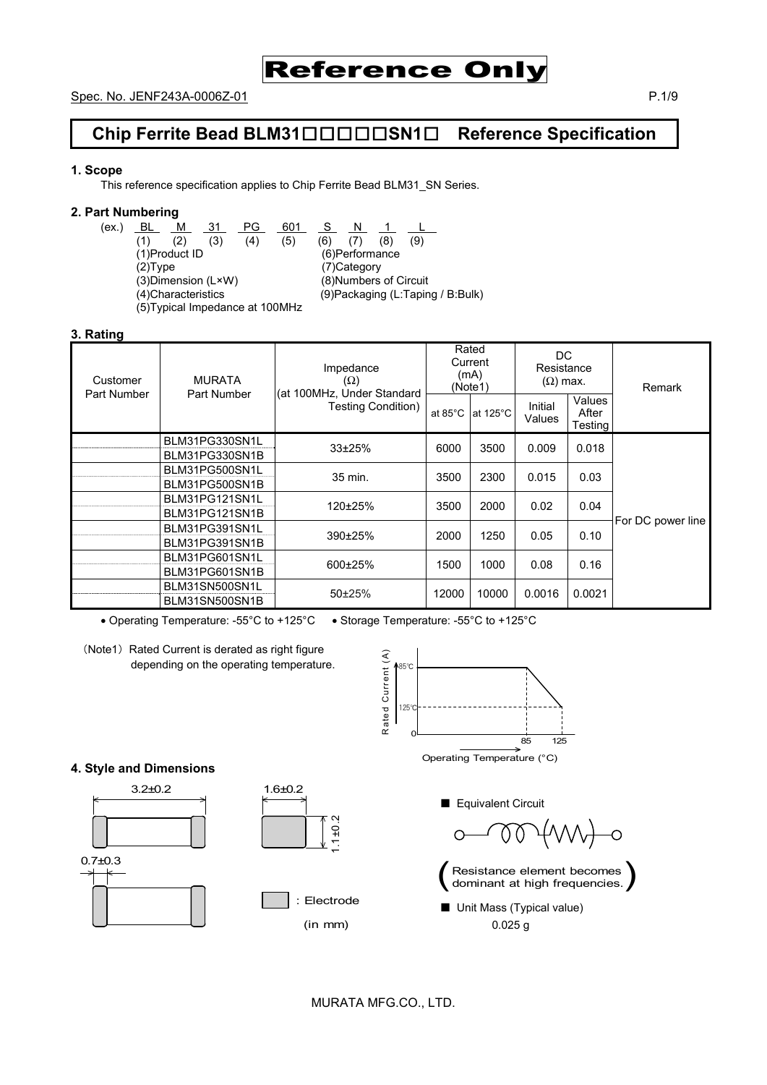

# **Chip Ferrite Bead BLM31**□□□□□**SN1**□ **Reference Specification**

#### **1. Scope**

This reference specification applies to Chip Ferrite Bead BLM31\_SN Series.

#### **2. Part Numbering**

(ex.) <u>BL M 31 PG 601 S N 1 L</u> (1) (2) (3) (4) (5) (6) (7) (8) (9) (1)Product ID (6)Performance (2)Type (7)Category<br>(3)Dimension (L×W) (8)Numbers  $(8)$ Numbers of Circuit (4)Characteristics (9)Packaging (L:Taping / B:Bulk) (5)Typical Impedance at 100MHz

#### **3. Rating**

| Customer<br>Part Number | <b>MURATA</b><br>Part Number     | Impedance<br>$(\Omega)$<br>(at 100MHz, Under Standard | Rated<br>Current<br>(mA)<br>(Note1) |                    | DC.<br>Resistance<br>$(\Omega)$ max. |                                   | Remark            |
|-------------------------|----------------------------------|-------------------------------------------------------|-------------------------------------|--------------------|--------------------------------------|-----------------------------------|-------------------|
|                         |                                  | Testing Condition)                                    | at $85^{\circ}$ C                   | at $125^{\circ}$ C | Initial<br>Values                    | Values<br>After<br><b>Testing</b> |                   |
|                         | BLM31PG330SN1L<br>BLM31PG330SN1B | $33+25%$                                              | 6000                                | 3500               | 0.009                                | 0.018                             |                   |
|                         | BLM31PG500SN1L<br>BLM31PG500SN1B | 35 min.                                               | 3500                                | 2300               | 0.015                                | 0.03                              |                   |
|                         | BLM31PG121SN1L<br>BLM31PG121SN1B | 120±25%                                               | 3500                                | 2000               | 0.02                                 | 0.04                              |                   |
|                         | BLM31PG391SN1L<br>BLM31PG391SN1B | 390±25%                                               | 2000                                | 1250               | 0.05                                 | 0.10                              | For DC power line |
|                         | BLM31PG601SN1L<br>BLM31PG601SN1B | 600±25%                                               | 1500                                | 1000               | 0.08                                 | 0.16                              |                   |
|                         | BLM31SN500SN1L<br>BLM31SN500SN1B | $50+25%$                                              | 12000                               | 10000              | 0.0016                               | 0.0021                            |                   |

• Operating Temperature: -55°C to +125°C • Storage Temperature: -55°C to +125°C

(Note1) Rated Current is derated as right figure depending on the operating temperature.



Operating Temperature (°C)

■ Equivalent Circuit





■ Unit Mass (Typical value) 0.025 g

# 3.2±0.2 1.6±0.2

**4. Style and Dimensions** 





**Electrode** 

(in mm)

1.1±0.2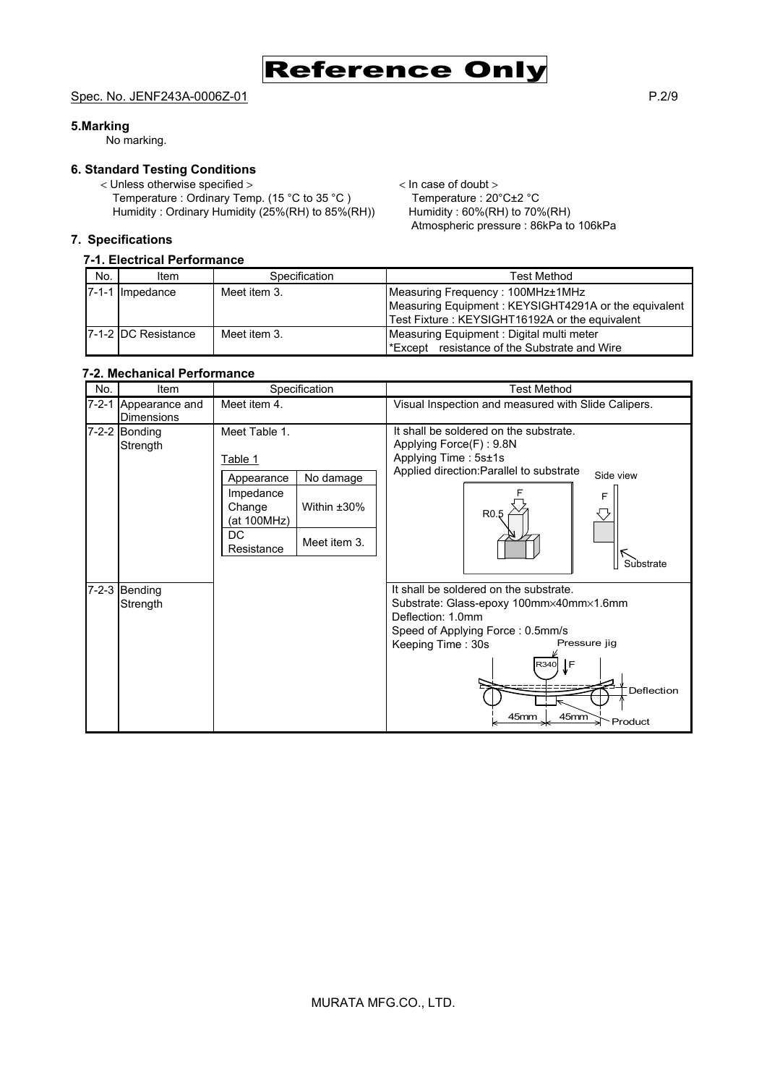Reference Only

Atmospheric pressure : 86kPa to 106kPa

#### Spec. No. JENF243A-0006Z-01 P.2/9

#### **5.Marking**

No marking.

#### **6. Standard Testing Conditions**

< Unless otherwise specified >  $\angle$  In case of doubt > Temperature : Ordinary Temp. (15 °C to 35 °C ) Temperature : 20 °C±2 °C Temperature : Ordinary Temp. (15 °C to 35 °C ) Temperature : 20 °C $\pm$ 2 °C<br>Humidity : Ordinary Humidity (25%(RH) to 85%(RH)) Humidity : 60%(RH) to 70%(RH) Humidity : Ordinary Humidity (25%(RH) to 85%  $(RH)$ )

#### **7. Specifications**

#### **7-1. Electrical Performance**

| No. | Item                | Specification | Test Method                                          |  |  |
|-----|---------------------|---------------|------------------------------------------------------|--|--|
|     | 7-1-1 Impedance     | Meet item 3.  | Measuring Frequency: 100MHz±1MHz                     |  |  |
|     |                     |               | Measuring Equipment: KEYSIGHT4291A or the equivalent |  |  |
|     |                     |               | Test Fixture: KEYSIGHT16192A or the equivalent       |  |  |
|     | 7-1-2 DC Resistance | Meet item 3.  | Measuring Equipment: Digital multi meter             |  |  |
|     |                     |               | Except resistance of the Substrate and Wire          |  |  |

### **7-2. Mechanical Performance**

| No.         | Item                                | Specification                                                                                                                                       | <b>Test Method</b>                                                                                                                                                                                                                     |
|-------------|-------------------------------------|-----------------------------------------------------------------------------------------------------------------------------------------------------|----------------------------------------------------------------------------------------------------------------------------------------------------------------------------------------------------------------------------------------|
| $7 - 2 - 1$ | Appearance and<br><b>Dimensions</b> | Meet item 4.                                                                                                                                        | Visual Inspection and measured with Slide Calipers.                                                                                                                                                                                    |
|             | 7-2-2 Bonding<br>Strength           | Meet Table 1.<br>Table 1<br>No damage<br>Appearance<br>Impedance<br>Within ±30%<br>Change<br>(at 100MHz)<br><b>DC</b><br>Meet item 3.<br>Resistance | It shall be soldered on the substrate.<br>Applying Force(F): 9.8N<br>Applying Time: 5s±1s<br>Applied direction: Parallel to substrate<br>Side view<br>F<br>R <sub>0.5</sub><br>Substrate                                               |
| $7 - 2 - 3$ | Bending<br>Strength                 |                                                                                                                                                     | It shall be soldered on the substrate.<br>Substrate: Glass-epoxy 100mm×40mm×1.6mm<br>Deflection: 1.0mm<br>Speed of Applying Force: 0.5mm/s<br>Pressure jig<br>Keeping Time: 30s<br>ĮF<br>R340<br>Deflection<br>45mm<br>45mm<br>Product |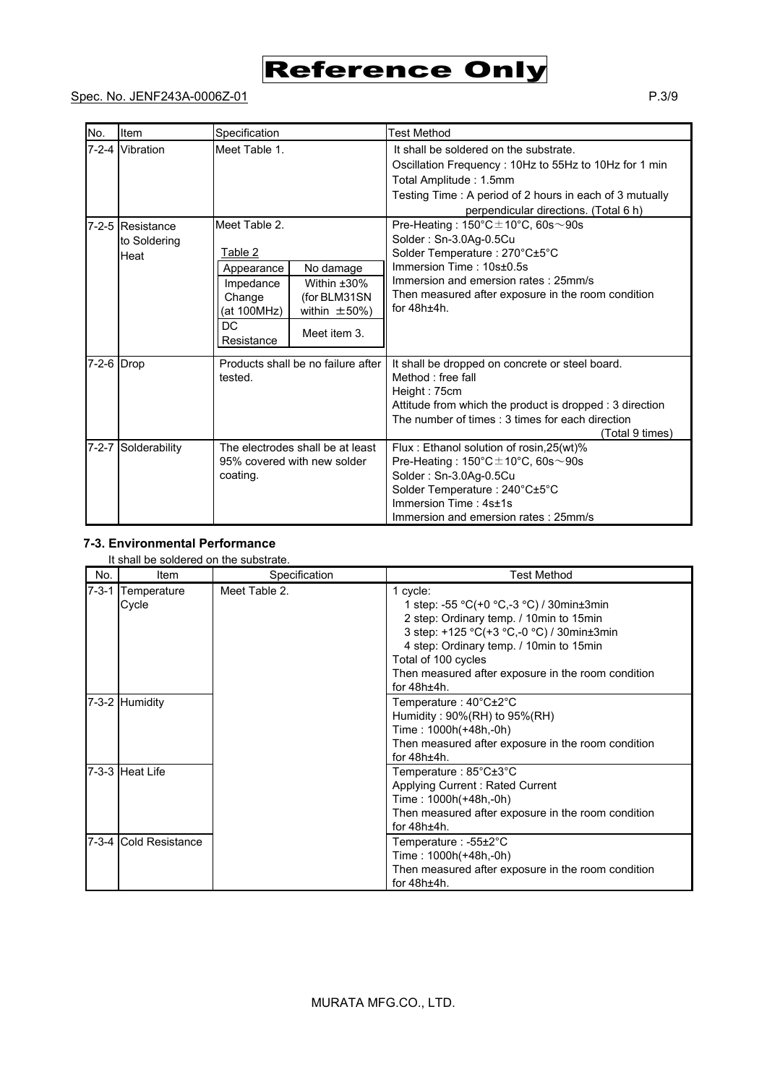# Reference Only

# Spec. No. JENF243A-0006Z-01 P.3/9

| No.        | Item                                     | Specification                                                                                                                                                                                 | <b>Test Method</b>                                                                                                                                                                                                                                           |
|------------|------------------------------------------|-----------------------------------------------------------------------------------------------------------------------------------------------------------------------------------------------|--------------------------------------------------------------------------------------------------------------------------------------------------------------------------------------------------------------------------------------------------------------|
|            | 7-2-4 Vibration                          | Meet Table 1.                                                                                                                                                                                 | It shall be soldered on the substrate.<br>Oscillation Frequency: 10Hz to 55Hz to 10Hz for 1 min<br>Total Amplitude: 1.5mm<br>Testing Time: A period of 2 hours in each of 3 mutually<br>perpendicular directions. (Total 6 h)                                |
|            | 7-2-5 Resistance<br>to Soldering<br>Heat | Meet Table 2.<br>Table 2<br>No damage<br>Appearance<br>Within $±30\%$<br>Impedance<br>(for BLM31SN<br>Change<br>(at 100MHz)<br>within $\pm 50\%$ )<br><b>DC</b><br>Meet item 3.<br>Resistance | Pre-Heating: $150^{\circ}$ C $\pm$ 10°C, 60s $\sim$ 90s<br>Solder: Sn-3.0Ag-0.5Cu<br>Solder Temperature: 270°C±5°C<br>Immersion Time: 10s+0.5s<br>Immersion and emersion rates: 25mm/s<br>Then measured after exposure in the room condition<br>for $48h+4h$ |
| 7-2-6 Drop |                                          | Products shall be no failure after<br>tested.                                                                                                                                                 | It shall be dropped on concrete or steel board.<br>Method : free fall<br>Height: 75cm<br>Attitude from which the product is dropped : 3 direction<br>The number of times : 3 times for each direction<br>(Total 9 times)                                     |
|            | 7-2-7 Solderability                      | The electrodes shall be at least<br>95% covered with new solder<br>coating.                                                                                                                   | Flux: Ethanol solution of rosin, 25(wt)%<br>Pre-Heating: $150^{\circ}$ C $\pm$ 10°C, 60s $\sim$ 90s<br>Solder: Sn-3.0Ag-0.5Cu<br>Solder Temperature: 240°C±5°C<br>Immersion Time: 4s±1s<br>Immersion and emersion rates: 25mm/s                              |

## **7-3. Environmental Performance**

#### It shall be soldered on the substrate.

| No.         | Item                   | Specification | <b>Test Method</b>                                                                                                                                                                                                                                                                     |
|-------------|------------------------|---------------|----------------------------------------------------------------------------------------------------------------------------------------------------------------------------------------------------------------------------------------------------------------------------------------|
| $7 - 3 - 1$ | Temperature<br>Cycle   | Meet Table 2. | 1 cycle:<br>1 step: -55 °C(+0 °C,-3 °C) / 30min±3min<br>2 step: Ordinary temp. / 10min to 15min<br>3 step: +125 °C(+3 °C,-0 °C) / 30min±3min<br>4 step: Ordinary temp. / 10min to 15min<br>Total of 100 cycles<br>Then measured after exposure in the room condition<br>for $48h±4h$ . |
|             | 7-3-2 Humidity         |               | Temperature: 40°C±2°C<br>Humidity: 90%(RH) to 95%(RH)<br>Time: 1000h(+48h,-0h)<br>Then measured after exposure in the room condition<br>for $48h±4h$ .                                                                                                                                 |
|             | 7-3-3 Heat Life        |               | Temperature: 85°C±3°C<br>Applying Current: Rated Current<br>Time: 1000h(+48h,-0h)<br>Then measured after exposure in the room condition<br>for $48h \pm 4h$ .                                                                                                                          |
|             | 7-3-4 ICold Resistance |               | Temperature : -55±2°C<br>Time: 1000h(+48h,-0h)<br>Then measured after exposure in the room condition<br>for $48h±4h$ .                                                                                                                                                                 |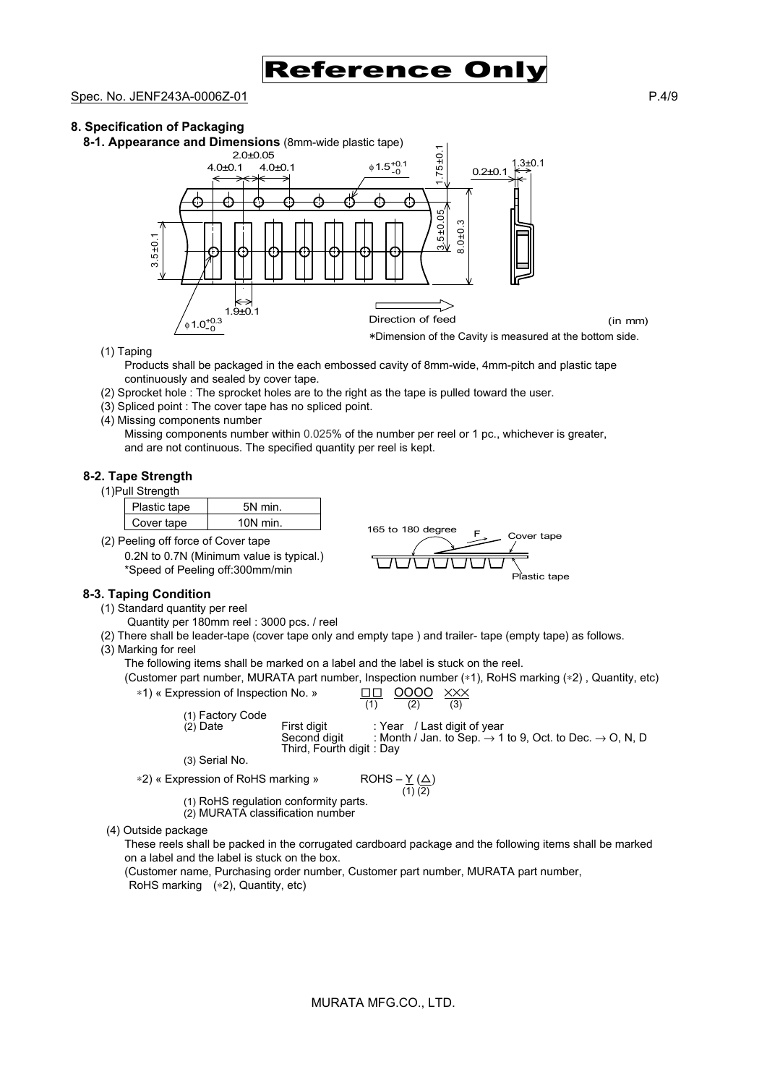

#### Spec. No. JENF243A-0006Z-01 P.4/9

#### **8. Specification of Packaging**





(1) Taping

Products shall be packaged in the each embossed cavity of 8mm-wide, 4mm-pitch and plastic tape continuously and sealed by cover tape.

- (2) Sprocket hole : The sprocket holes are to the right as the tape is pulled toward the user.
- (3) Spliced point : The cover tape has no spliced point.
- (4) Missing components number

Missing components number within 0.025% of the number per reel or 1 pc., whichever is greater, and are not continuous. The specified quantity per reel is kept.

#### **8-2. Tape Strength**

| (1) Pull Strength |  |
|-------------------|--|
|                   |  |

| lastic tape <sup>~</sup> | min   |
|--------------------------|-------|
| over tape                | J min |

(2) Peeling off force of Cover tape 0.2N to 0.7N (Minimum value is typical.) \*Speed of Peeling off:300mm/min

#### **8-3. Taping Condition**

- (1) Standard quantity per reel
	- Quantity per 180mm reel : 3000 pcs. / reel
- (2) There shall be leader-tape (cover tape only and empty tape ) and trailer- tape (empty tape) as follows.
- (3) Marking for reel

The following items shall be marked on a label and the label is stuck on the reel.

(Customer part number, MURATA part number, Inspection number (∗1), RoHS marking (∗2) , Quantity, etc)

\*1) « Expression of Inspection No. »

\n
$$
\frac{\Box \Box}{(1)} \quad \frac{\text{OOOO}}{(2)} \quad \frac{\times \times \times}{(3)}
$$
\n(1) Factory Code

 $(2)$  Date First digit : Year / Last digit of year  $(2)$  Date  $(3)$  Second digit : Month / Jan. to Sep.  $\rightarrow 1$ Month / Jan. to Sep.  $\rightarrow$  1 to 9, Oct. to Dec.  $\rightarrow$  O, N, D Third, Fourth digit : Day (3) Serial No.

165 to 180 degree  $F_{\text{S}}$  Cover tape

Plastic tape

```
∗2) « Expression of RoHS marking »
```

```
ROHS -\underline{Y} (\underline{\Delta})<br>(1) (2)
```
(1) RoHS regulation conformity parts.

- (2) MURATA classification number
- (4) Outside package

These reels shall be packed in the corrugated cardboard package and the following items shall be marked on a label and the label is stuck on the box.

(Customer name, Purchasing order number, Customer part number, MURATA part number,

RoHS marking (∗2), Quantity, etc)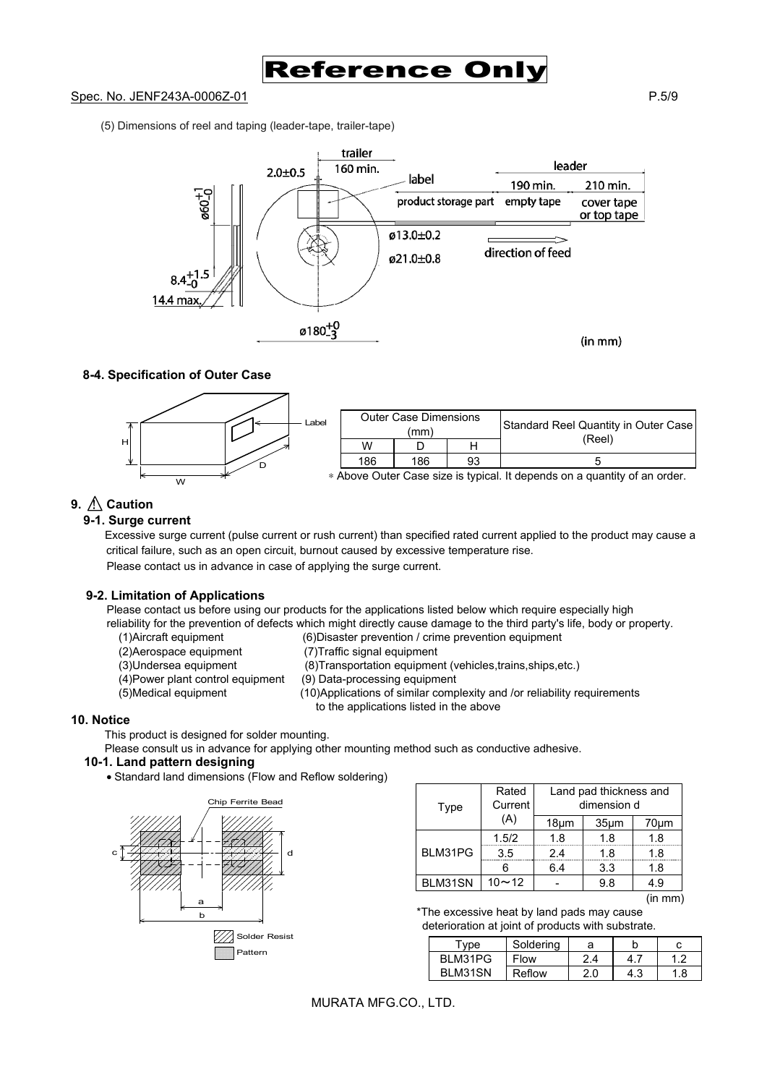Reference Onl

#### Spec. No. JENF243A-0006Z-01 P.5/9

(5) Dimensions of reel and taping (leader-tape, trailer-tape)



### **8-4. Specification of Outer Case**



# **9.**  $\Lambda$  Caution

#### **9-1. Surge current**

Excessive surge current (pulse current or rush current) than specified rated current applied to the product may cause a critical failure, such as an open circuit, burnout caused by excessive temperature rise. Please contact us in advance in case of applying the surge current.

#### **9-2. Limitation of Applications**

Please contact us before using our products for the applications listed below which require especially high reliability for the prevention of defects which might directly cause damage to the third party's life, body or property.

- (1)Aircraft equipment (6)Disaster prevention / crime prevention equipment
- (2)Aerospace equipment (7)Traffic signal equipment
- 
- 
- (3)Undersea equipment (8)Transportation equipment (vehicles,trains,ships,etc.)
- (4)Power plant control equipment (9) Data-processing equipment
- (5)Medical equipment (10)Applications of similar complexity and /or reliability requirements
- - to the applications listed in the above

#### **10. Notice**

This product is designed for solder mounting.

Please consult us in advance for applying other mounting method such as conductive adhesive.

#### **10-1. Land pattern designing**

• Standard land dimensions (Flow and Reflow soldering)



| Type    | Rated<br>Current | Land pad thickness and<br>dimension d |                   |      |  |
|---------|------------------|---------------------------------------|-------------------|------|--|
|         | (A)              | $18 \mu m$                            | 35 <sub>µ</sub> m | 70µm |  |
| BLM31PG | 1.5/2            | 1.8                                   | 1.8               | 1.8  |  |
|         | 3.5              | 2.4                                   | 1.8               | 1.8  |  |
|         |                  | 6.4                                   | 3.3               | 1.8  |  |
| BLM31SN | $10 - 12$        |                                       | 9.8               | 49   |  |

<sup>(</sup>in mm)

\*The excessive heat by land pads may cause deterioration at joint of products with substrate.

| vne             | Soldering |     |  |
|-----------------|-----------|-----|--|
| BLM31PG         | Flow      | 2.4 |  |
| <b>BI M31SN</b> | Reflow    | 20. |  |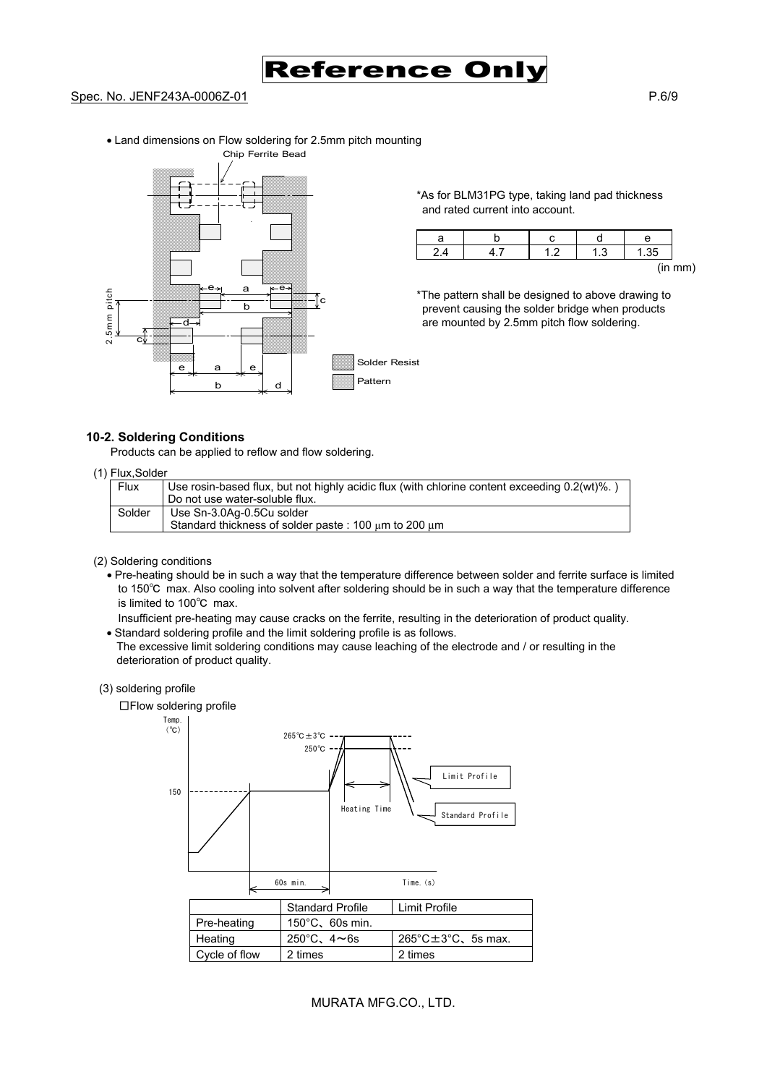

#### Spec. No. JENF243A-0006Z-01 P.6/9

• Land dimensions on Flow soldering for 2.5mm pitch mounting



\*As for BLM31PG type, taking land pad thickness and rated current into account.

|  |            | е |                            |
|--|------------|---|----------------------------|
|  | $\sqrt{2}$ |   |                            |
|  |            |   | $\lim_{m \to \infty}$<br>, |

\*The pattern shall be designed to above drawing to prevent causing the solder bridge when products are mounted by 2.5mm pitch flow soldering.

#### **10-2. Soldering Conditions**

Products can be applied to reflow and flow soldering.

#### (1) Flux,Solder

| Flux   | Use rosin-based flux, but not highly acidic flux (with chlorine content exceeding 0.2(wt)%.) |
|--------|----------------------------------------------------------------------------------------------|
|        | Do not use water-soluble flux.                                                               |
| Solder | Use Sn-3.0Ag-0.5Cu solder                                                                    |
|        | Standard thickness of solder paste: 100 um to 200 um                                         |

#### (2) Soldering conditions

• Pre-heating should be in such a way that the temperature difference between solder and ferrite surface is limited to 150℃ max. Also cooling into solvent after soldering should be in such a way that the temperature difference is limited to 100℃ max.

Insufficient pre-heating may cause cracks on the ferrite, resulting in the deterioration of product quality.

• Standard soldering profile and the limit soldering profile is as follows.

The excessive limit soldering conditions may cause leaching of the electrode and / or resulting in the deterioration of product quality.

#### (3) soldering profile

□Flow soldering profile



#### MURATA MFG.CO., LTD.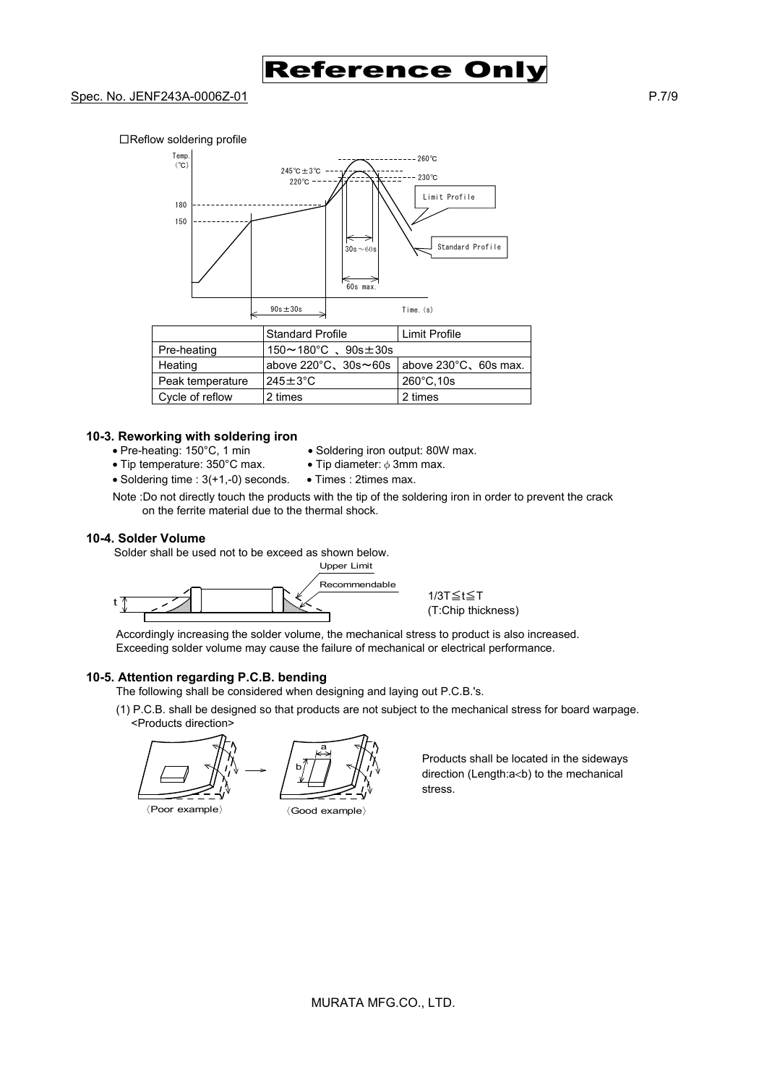

#### Spec. No. JENF243A-0006Z-01 P.7/9





#### **10-3. Reworking with soldering iron**

- 
- Tip temperature: 350°C max.
- Pre-heating: 150°C, 1 min Soldering iron output: 80W max.<br>• Tip temperature: 350°C max. Tip diameter:  $\phi$  3mm max.
- Soldering time : 3(+1,-0) seconds. Times : 2times max.
- 
- Note :Do not directly touch the products with the tip of the soldering iron in order to prevent the crack on the ferrite material due to the thermal shock.

#### **10-4. Solder Volume**

Solder shall be used not to be exceed as shown below.



Cycle of reflow  $\vert$  2 times  $\vert$  2 times

Accordingly increasing the solder volume, the mechanical stress to product is also increased. Exceeding solder volume may cause the failure of mechanical or electrical performance.

#### **10-5. Attention regarding P.C.B. bending**

The following shall be considered when designing and laying out P.C.B.'s.

(1) P.C.B. shall be designed so that products are not subject to the mechanical stress for board warpage. <Products direction>

b a

〈Poor example〉 〈Good example〉

Products shall be located in the sideways direction (Length:a<br />b) to the mechanical stress.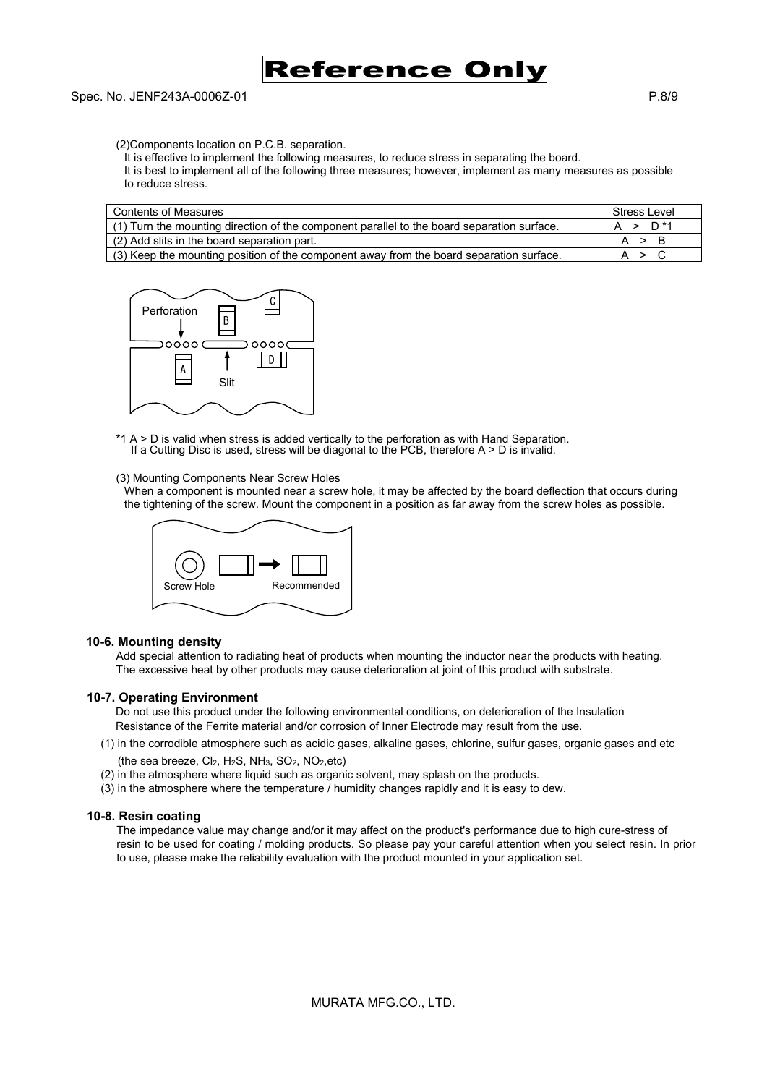# Reference On

(2)Components location on P.C.B. separation.

- It is effective to implement the following measures, to reduce stress in separating the board.
- It is best to implement all of the following three measures; however, implement as many measures as possible to reduce stress.

| <b>Contents of Measures</b>                                                                | Stress Level        |
|--------------------------------------------------------------------------------------------|---------------------|
| (1) Turn the mounting direction of the component parallel to the board separation surface. | A > D <sup>*1</sup> |
| (2) Add slits in the board separation part.                                                | A > B               |
| $(3)$ Keep the mounting position of the component away from the board separation surface.  | A > C               |



\*1 A > D is valid when stress is added vertically to the perforation as with Hand Separation. If a Cutting Disc is used, stress will be diagonal to the PCB, therefore A > D is invalid.

#### (3) Mounting Components Near Screw Holes

When a component is mounted near a screw hole, it may be affected by the board deflection that occurs during the tightening of the screw. Mount the component in a position as far away from the screw holes as possible.



#### **10-6. Mounting density**

Add special attention to radiating heat of products when mounting the inductor near the products with heating. The excessive heat by other products may cause deterioration at joint of this product with substrate.

#### **10-7. Operating Environment**

Do not use this product under the following environmental conditions, on deterioration of the Insulation Resistance of the Ferrite material and/or corrosion of Inner Electrode may result from the use.

- (1) in the corrodible atmosphere such as acidic gases, alkaline gases, chlorine, sulfur gases, organic gases and etc (the sea breeze,  $Cl_2$ ,  $H_2S$ ,  $NH_3$ ,  $SO_2$ ,  $NO_2$ , etc)
- (2) in the atmosphere where liquid such as organic solvent, may splash on the products.
- (3) in the atmosphere where the temperature / humidity changes rapidly and it is easy to dew.

#### **10-8. Resin coating**

The impedance value may change and/or it may affect on the product's performance due to high cure-stress of resin to be used for coating / molding products. So please pay your careful attention when you select resin. In prior to use, please make the reliability evaluation with the product mounted in your application set.